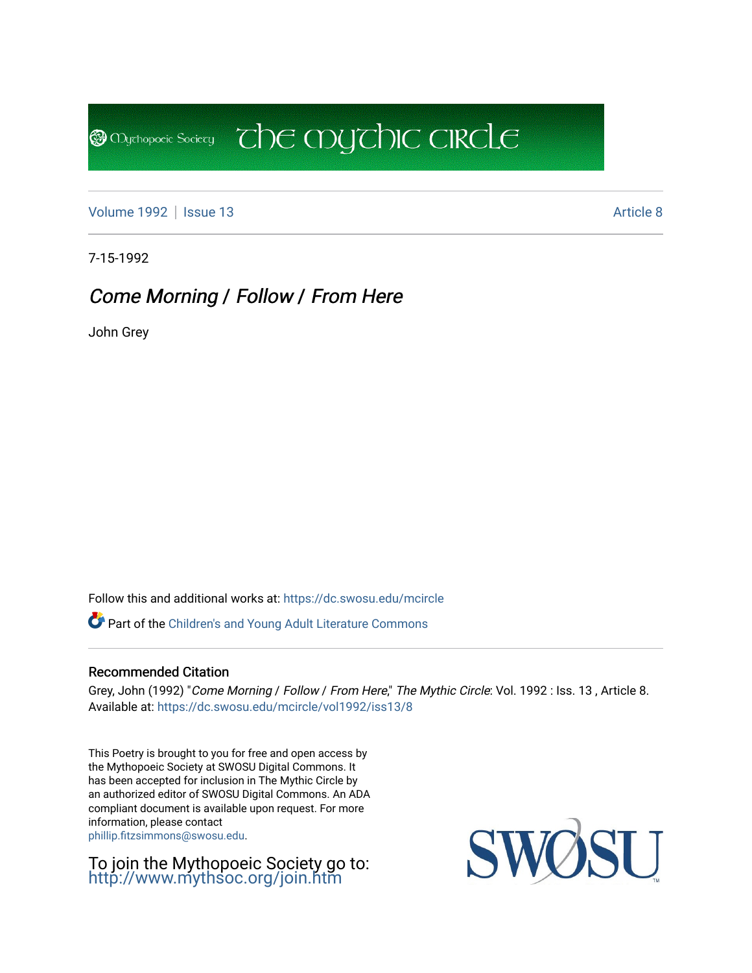[Volume 1992](https://dc.swosu.edu/mcircle/vol1992) | [Issue 13](https://dc.swosu.edu/mcircle/vol1992/iss13) Article 8

**@** Mychopoeic Sociecy

7-15-1992

# Come Morning / Follow / From Here

John Grey

Follow this and additional works at: [https://dc.swosu.edu/mcircle](https://dc.swosu.edu/mcircle?utm_source=dc.swosu.edu%2Fmcircle%2Fvol1992%2Fiss13%2F8&utm_medium=PDF&utm_campaign=PDFCoverPages) 

Part of the [Children's and Young Adult Literature Commons](http://network.bepress.com/hgg/discipline/1289?utm_source=dc.swosu.edu%2Fmcircle%2Fvol1992%2Fiss13%2F8&utm_medium=PDF&utm_campaign=PDFCoverPages) 

### Recommended Citation

Grey, John (1992) "Come Morning / Follow / From Here," The Mythic Circle: Vol. 1992 : Iss. 13, Article 8. Available at: [https://dc.swosu.edu/mcircle/vol1992/iss13/8](https://dc.swosu.edu/mcircle/vol1992/iss13/8?utm_source=dc.swosu.edu%2Fmcircle%2Fvol1992%2Fiss13%2F8&utm_medium=PDF&utm_campaign=PDFCoverPages)

 $\overline{c}$  the mychic circle

This Poetry is brought to you for free and open access by the Mythopoeic Society at SWOSU Digital Commons. It has been accepted for inclusion in The Mythic Circle by an authorized editor of SWOSU Digital Commons. An ADA compliant document is available upon request. For more information, please contact [phillip.fitzsimmons@swosu.edu](mailto:phillip.fitzsimmons@swosu.edu).

To join the Mythopoeic Society go to: <http://www.mythsoc.org/join.htm>

SWO **STT**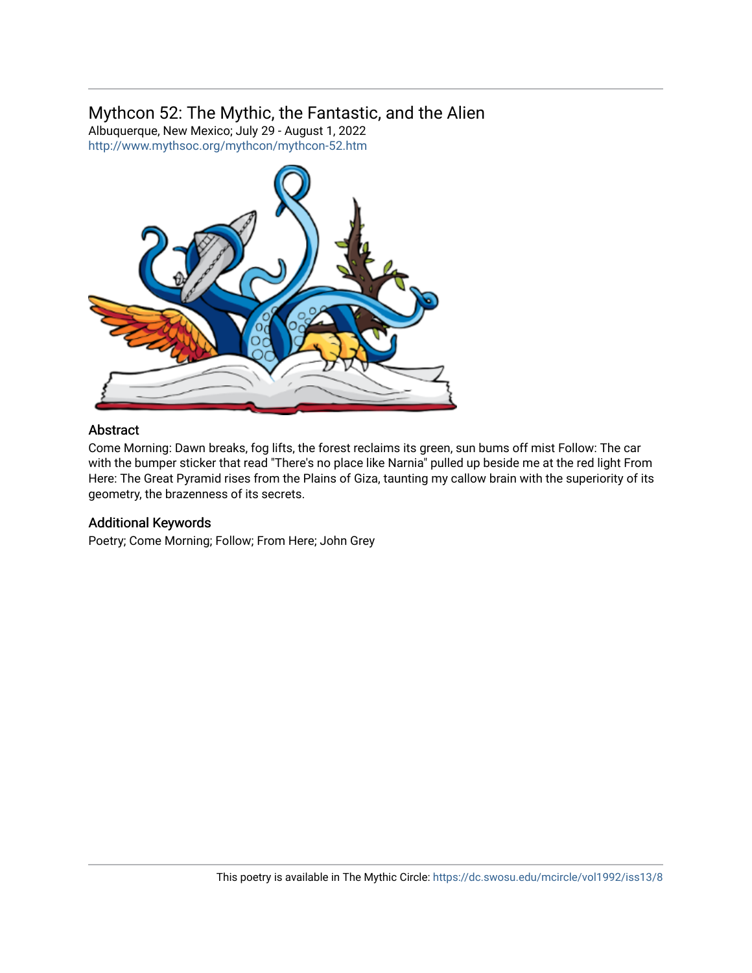### Mythcon 52: The Mythic, the Fantastic, and the Alien

Albuquerque, New Mexico; July 29 - August 1, 2022 <http://www.mythsoc.org/mythcon/mythcon-52.htm>



### Abstract

Come Morning: Dawn breaks, fog lifts, the forest reclaims its green, sun bums off mist Follow: The car with the bumper sticker that read "There's no place like Narnia" pulled up beside me at the red light From Here: The Great Pyramid rises from the Plains of Giza, taunting my callow brain with the superiority of its geometry, the brazenness of its secrets.

### Additional Keywords

Poetry; Come Morning; Follow; From Here; John Grey